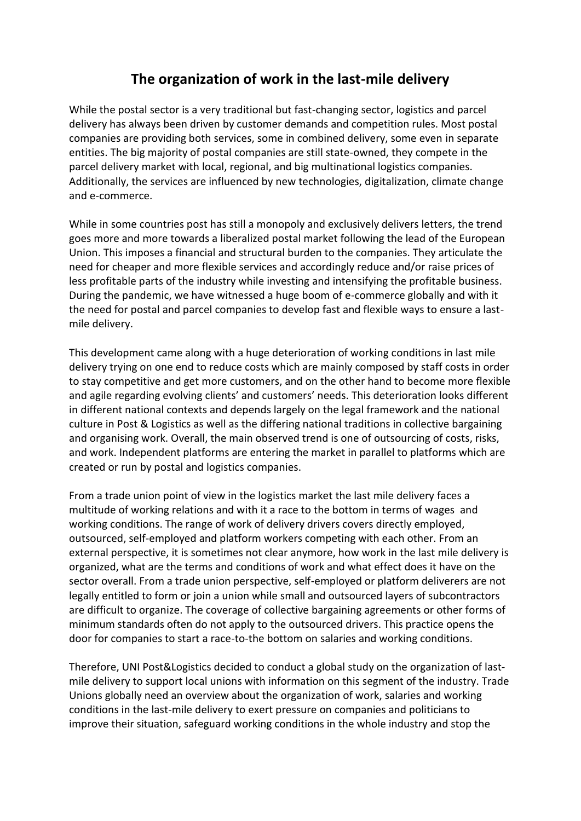# **The organization of work in the last-mile delivery**

While the postal sector is a very traditional but fast-changing sector, logistics and parcel delivery has always been driven by customer demands and competition rules. Most postal companies are providing both services, some in combined delivery, some even in separate entities. The big majority of postal companies are still state-owned, they compete in the parcel delivery market with local, regional, and big multinational logistics companies. Additionally, the services are influenced by new technologies, digitalization, climate change and e-commerce.

While in some countries post has still a monopoly and exclusively delivers letters, the trend goes more and more towards a liberalized postal market following the lead of the European Union. This imposes a financial and structural burden to the companies. They articulate the need for cheaper and more flexible services and accordingly reduce and/or raise prices of less profitable parts of the industry while investing and intensifying the profitable business. During the pandemic, we have witnessed a huge boom of e-commerce globally and with it the need for postal and parcel companies to develop fast and flexible ways to ensure a lastmile delivery.

This development came along with a huge deterioration of working conditions in last mile delivery trying on one end to reduce costs which are mainly composed by staff costs in order to stay competitive and get more customers, and on the other hand to become more flexible and agile regarding evolving clients' and customers' needs. This deterioration looks different in different national contexts and depends largely on the legal framework and the national culture in Post & Logistics as well as the differing national traditions in collective bargaining and organising work. Overall, the main observed trend is one of outsourcing of costs, risks, and work. Independent platforms are entering the market in parallel to platforms which are created or run by postal and logistics companies.

From a trade union point of view in the logistics market the last mile delivery faces a multitude of working relations and with it a race to the bottom in terms of wages and working conditions. The range of work of delivery drivers covers directly employed, outsourced, self-employed and platform workers competing with each other. From an external perspective, it is sometimes not clear anymore, how work in the last mile delivery is organized, what are the terms and conditions of work and what effect does it have on the sector overall. From a trade union perspective, self-employed or platform deliverers are not legally entitled to form or join a union while small and outsourced layers of subcontractors are difficult to organize. The coverage of collective bargaining agreements or other forms of minimum standards often do not apply to the outsourced drivers. This practice opens the door for companies to start a race-to-the bottom on salaries and working conditions.

Therefore, UNI Post&Logistics decided to conduct a global study on the organization of lastmile delivery to support local unions with information on this segment of the industry. Trade Unions globally need an overview about the organization of work, salaries and working conditions in the last-mile delivery to exert pressure on companies and politicians to improve their situation, safeguard working conditions in the whole industry and stop the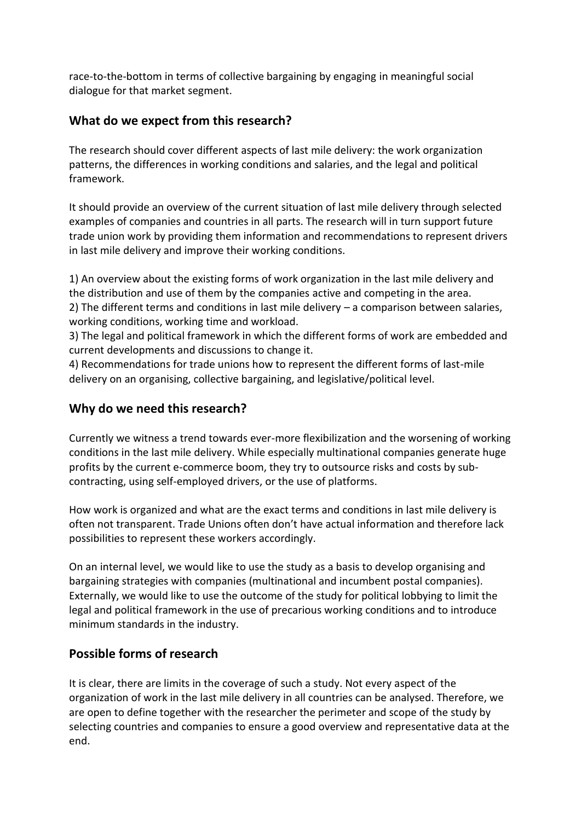race-to-the-bottom in terms of collective bargaining by engaging in meaningful social dialogue for that market segment.

## **What do we expect from this research?**

The research should cover different aspects of last mile delivery: the work organization patterns, the differences in working conditions and salaries, and the legal and political framework.

It should provide an overview of the current situation of last mile delivery through selected examples of companies and countries in all parts. The research will in turn support future trade union work by providing them information and recommendations to represent drivers in last mile delivery and improve their working conditions.

1) An overview about the existing forms of work organization in the last mile delivery and the distribution and use of them by the companies active and competing in the area. 2) The different terms and conditions in last mile delivery – a comparison between salaries, working conditions, working time and workload.

3) The legal and political framework in which the different forms of work are embedded and current developments and discussions to change it.

4) Recommendations for trade unions how to represent the different forms of last-mile delivery on an organising, collective bargaining, and legislative/political level.

## **Why do we need this research?**

Currently we witness a trend towards ever-more flexibilization and the worsening of working conditions in the last mile delivery. While especially multinational companies generate huge profits by the current e-commerce boom, they try to outsource risks and costs by subcontracting, using self-employed drivers, or the use of platforms.

How work is organized and what are the exact terms and conditions in last mile delivery is often not transparent. Trade Unions often don't have actual information and therefore lack possibilities to represent these workers accordingly.

On an internal level, we would like to use the study as a basis to develop organising and bargaining strategies with companies (multinational and incumbent postal companies). Externally, we would like to use the outcome of the study for political lobbying to limit the legal and political framework in the use of precarious working conditions and to introduce minimum standards in the industry.

#### **Possible forms of research**

It is clear, there are limits in the coverage of such a study. Not every aspect of the organization of work in the last mile delivery in all countries can be analysed. Therefore, we are open to define together with the researcher the perimeter and scope of the study by selecting countries and companies to ensure a good overview and representative data at the end.